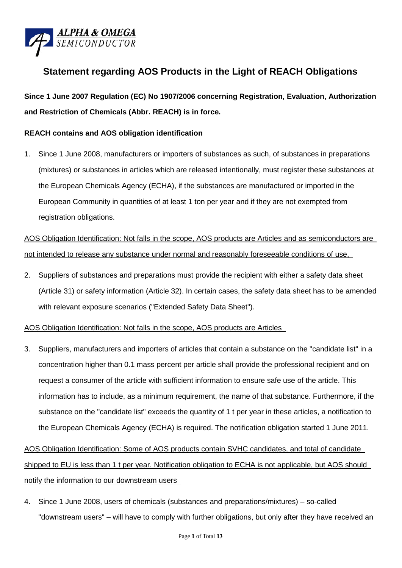

# **Statement regarding AOS Products in the Light of REACH Obligations**

**Since 1 June 2007 Regulation (EC) No 1907/2006 concerning Registration, Evaluation, Authorization and Restriction of Chemicals (Abbr. REACH) is in force.**

### **REACH contains and AOS obligation identification**

1. Since 1 June 2008, manufacturers or importers of substances as such, of substances in preparations (mixtures) or substances in articles which are released intentionally, must register these substances at the European Chemicals Agency (ECHA), if the substances are manufactured or imported in the European Community in quantities of at least 1 ton per year and if they are not exempted from registration obligations.

AOS Obligation Identification: Not falls in the scope, AOS products are Articles and as semiconductors are not intended to release any substance under normal and reasonably foreseeable conditions of use,

2. Suppliers of substances and preparations must provide the recipient with either a safety data sheet (Article 31) or safety information (Article 32). In certain cases, the safety data sheet has to be amended with relevant exposure scenarios ("Extended Safety Data Sheet").

### AOS Obligation Identification: Not falls in the scope, AOS products are Articles

3. Suppliers, manufacturers and importers of articles that contain a substance on the "candidate list" in a concentration higher than 0.1 mass percent per article shall provide the professional recipient and on request a consumer of the article with sufficient information to ensure safe use of the article. This information has to include, as a minimum requirement, the name of that substance. Furthermore, if the substance on the "candidate list" exceeds the quantity of 1 t per year in these articles, a notification to the European Chemicals Agency (ECHA) is required. The notification obligation started 1 June 2011.

# AOS Obligation Identification: Some of AOS products contain SVHC candidates, and total of candidate shipped to EU is less than 1 t per year. Notification obligation to ECHA is not applicable, but AOS should notify the information to our downstream users

4. Since 1 June 2008, users of chemicals (substances and preparations/mixtures) – so-called "downstream users" – will have to comply with further obligations, but only after they have received an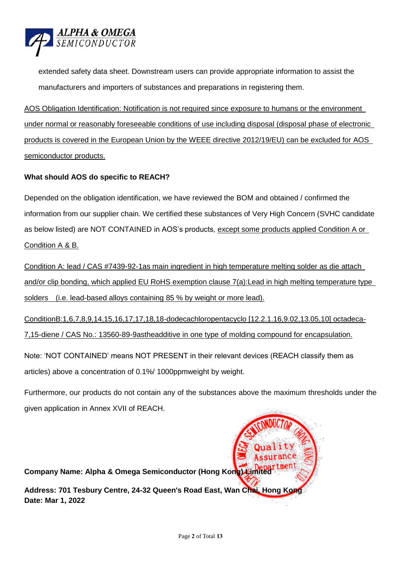

extended safety data sheet. Downstream users can provide appropriate information to assist the manufacturers and importers of substances and preparations in registering them.

AOS Obligation Identification: Notification is not required since exposure to humans or the environment under normal or reasonably foreseeable conditions of use including disposal (disposal phase of electronic products is covered in the European Union by the WEEE directive 2012/19/EU) can be excluded for AOS semiconductor products.

## **What should AOS do specific to REACH?**

Depended on the obligation identification, we have reviewed the BOM and obtained / confirmed the information from our supplier chain. We certified these substances of Very High Concern (SVHC candidate as below listed) are NOT CONTAINED in AOS's products, except some products applied Condition A or Condition A & B.

Condition A: lead / CAS #7439-92-1as main ingredient in high temperature melting solder as die attach and/or clip bonding, which applied EU RoHS exemption clause 7(a):Lead in high melting temperature type solders (i.e. lead-based alloys containing 85 % by weight or more lead).

ConditionB:1,6,7,8,9,14,15,16,17,17,18,18-dodecachloropentacyclo [12.2.1.16,9.02,13.05,10] octadeca-7,15-diene / CAS No.: 13560-89-9astheadditive in one type of molding compound for encapsulation.

Note: 'NOT CONTAINED' means NOT PRESENT in their relevant devices (REACH classify them as articles) above a concentration of 0.1%/ 1000ppmweight by weight.

Furthermore, our products do not contain any of the substances above the maximum thresholds under the given application in Annex XVII of REACH.

**Company Name: Alpha & Omega Semiconductor (Hong Kong) Limited Address: 701 Tesbury Centre, 24-32 Queen's Road East, Wan Chai, Hong Kong Date: Mar 1, 2022**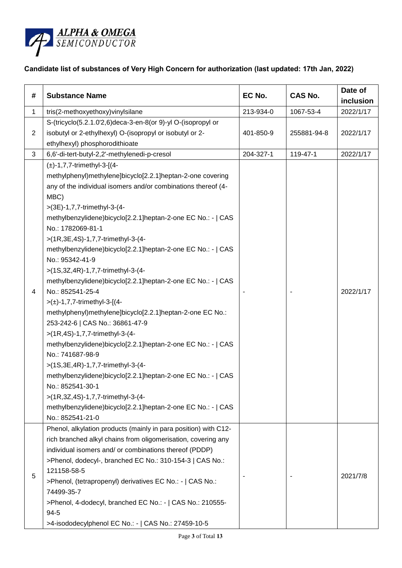

## **Candidate list of substances of Very High Concern for authorization (last updated: 17th Jan, 2022)**

| #              | <b>Substance Name</b>                                                                                                                                                                                                                                                                                                                                                                                                                                                                                                                                                                                                                                                                                                                                                                                                                                                                                                                                                                                                                                   | EC No.    | CAS No.     | Date of<br>inclusion |
|----------------|---------------------------------------------------------------------------------------------------------------------------------------------------------------------------------------------------------------------------------------------------------------------------------------------------------------------------------------------------------------------------------------------------------------------------------------------------------------------------------------------------------------------------------------------------------------------------------------------------------------------------------------------------------------------------------------------------------------------------------------------------------------------------------------------------------------------------------------------------------------------------------------------------------------------------------------------------------------------------------------------------------------------------------------------------------|-----------|-------------|----------------------|
| $\mathbf{1}$   | tris(2-methoxyethoxy)vinylsilane                                                                                                                                                                                                                                                                                                                                                                                                                                                                                                                                                                                                                                                                                                                                                                                                                                                                                                                                                                                                                        | 213-934-0 | 1067-53-4   | 2022/1/17            |
| $\overline{c}$ | S-(tricyclo(5.2.1.0'2,6)deca-3-en-8(or 9)-yl O-(isopropyl or<br>isobutyl or 2-ethylhexyl) O-(isopropyl or isobutyl or 2-<br>ethylhexyl) phosphorodithioate                                                                                                                                                                                                                                                                                                                                                                                                                                                                                                                                                                                                                                                                                                                                                                                                                                                                                              | 401-850-9 | 255881-94-8 | 2022/1/17            |
| 3              | 6,6'-di-tert-butyl-2,2'-methylenedi-p-cresol                                                                                                                                                                                                                                                                                                                                                                                                                                                                                                                                                                                                                                                                                                                                                                                                                                                                                                                                                                                                            | 204-327-1 | 119-47-1    | 2022/1/17            |
| 4              | $(\pm)$ -1,7,7-trimethyl-3-[(4-<br>methylphenyl)methylene]bicyclo[2.2.1]heptan-2-one covering<br>any of the individual isomers and/or combinations thereof (4-<br>MBC)<br>>(3E)-1,7,7-trimethyl-3-(4-<br>methylbenzylidene)bicyclo[2.2.1]heptan-2-one EC No.: -   CAS<br>No.: 1782069-81-1<br>>(1R,3E,4S)-1,7,7-trimethyl-3-(4-<br>methylbenzylidene)bicyclo[2.2.1]heptan-2-one EC No.: -   CAS<br>No.: 95342-41-9<br>>(1S,3Z,4R)-1,7,7-trimethyl-3-(4-<br>methylbenzylidene)bicyclo[2.2.1]heptan-2-one EC No.: -   CAS<br>No.: 852541-25-4<br>$>(\pm)$ -1,7,7-trimethyl-3-[(4-<br>methylphenyl)methylene]bicyclo[2.2.1]heptan-2-one EC No.:<br>253-242-6   CAS No.: 36861-47-9<br>>(1R,4S)-1,7,7-trimethyl-3-(4-<br>methylbenzylidene)bicyclo[2.2.1]heptan-2-one EC No.: -   CAS<br>No.: 741687-98-9<br>>(1S,3E,4R)-1,7,7-trimethyl-3-(4-<br>methylbenzylidene)bicyclo[2.2.1]heptan-2-one EC No.: -   CAS<br>No.: 852541-30-1<br>>(1R,3Z,4S)-1,7,7-trimethyl-3-(4-<br>methylbenzylidene)bicyclo[2.2.1]heptan-2-one EC No.: -   CAS<br>No.: 852541-21-0 |           |             | 2022/1/17            |
| 5              | Phenol, alkylation products (mainly in para position) with C12-<br>rich branched alkyl chains from oligomerisation, covering any<br>individual isomers and/ or combinations thereof (PDDP)<br>>Phenol, dodecyl-, branched EC No.: 310-154-3   CAS No.:<br>121158-58-5<br>>Phenol, (tetrapropenyl) derivatives EC No.: -   CAS No.:<br>74499-35-7<br>>Phenol, 4-dodecyl, branched EC No.: -   CAS No.: 210555-<br>$94 - 5$<br>>4-isododecylphenol EC No.: -   CAS No.: 27459-10-5                                                                                                                                                                                                                                                                                                                                                                                                                                                                                                                                                                        |           |             | 2021/7/8             |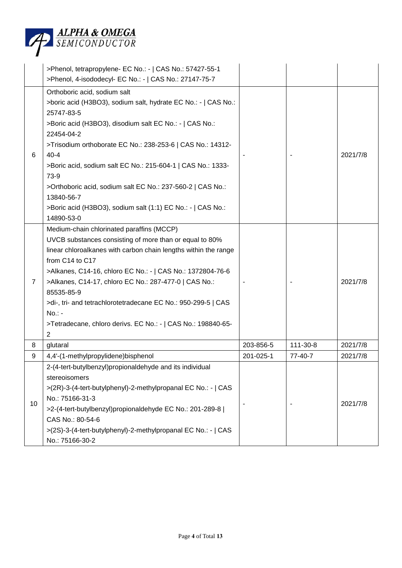

|                | >Phenol, tetrapropylene- EC No.: -   CAS No.: 57427-55-1<br>>Phenol, 4-isododecyl- EC No.: -   CAS No.: 27147-75-7                                                                                                                                                                                                                                                                                                                                                                              |           |          |          |
|----------------|-------------------------------------------------------------------------------------------------------------------------------------------------------------------------------------------------------------------------------------------------------------------------------------------------------------------------------------------------------------------------------------------------------------------------------------------------------------------------------------------------|-----------|----------|----------|
| 6              | Orthoboric acid, sodium salt<br>>boric acid (H3BO3), sodium salt, hydrate EC No.: -   CAS No.:<br>25747-83-5<br>>Boric acid (H3BO3), disodium salt EC No.: -   CAS No.:<br>22454-04-2<br>>Trisodium orthoborate EC No.: 238-253-6   CAS No.: 14312-<br>$40 - 4$<br>>Boric acid, sodium salt EC No.: 215-604-1   CAS No.: 1333-<br>73-9<br>>Orthoboric acid, sodium salt EC No.: 237-560-2   CAS No.:<br>13840-56-7<br>>Boric acid (H3BO3), sodium salt (1:1) EC No.: -   CAS No.:<br>14890-53-0 |           |          | 2021/7/8 |
| $\overline{7}$ | Medium-chain chlorinated paraffins (MCCP)<br>UVCB substances consisting of more than or equal to 80%<br>linear chloroalkanes with carbon chain lengths within the range<br>from C14 to C17<br>>Alkanes, C14-16, chloro EC No.: -   CAS No.: 1372804-76-6<br>>Alkanes, C14-17, chloro EC No.: 287-477-0   CAS No.:<br>85535-85-9<br>>di-, tri- and tetrachlorotetradecane EC No.: 950-299-5   CAS<br>$No.: -$<br>>Tetradecane, chloro derivs. EC No.: -   CAS No.: 198840-65-<br>2               |           |          | 2021/7/8 |
| 8              | glutaral                                                                                                                                                                                                                                                                                                                                                                                                                                                                                        | 203-856-5 | 111-30-8 | 2021/7/8 |
| 9              | 4,4'-(1-methylpropylidene)bisphenol                                                                                                                                                                                                                                                                                                                                                                                                                                                             | 201-025-1 | 77-40-7  | 2021/7/8 |
| 10             | 2-(4-tert-butylbenzyl)propionaldehyde and its individual<br>stereoisomers<br>>(2R)-3-(4-tert-butylphenyl)-2-methylpropanal EC No.: -   CAS<br>No.: 75166-31-3<br>>2-(4-tert-butylbenzyl)propionaldehyde EC No.: 201-289-8  <br>CAS No.: 80-54-6<br>>(2S)-3-(4-tert-butylphenyl)-2-methylpropanal EC No.: -   CAS<br>No.: 75166-30-2                                                                                                                                                             |           |          | 2021/7/8 |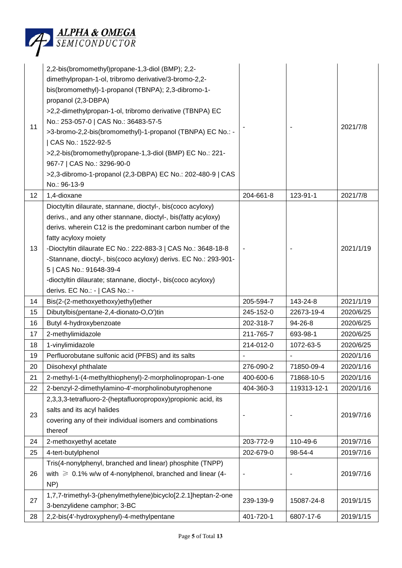

| 11 | 2,2-bis(bromomethyl)propane-1,3-diol (BMP); 2,2-<br>dimethylpropan-1-ol, tribromo derivative/3-bromo-2,2-<br>bis(bromomethyl)-1-propanol (TBNPA); 2,3-dibromo-1-<br>propanol (2,3-DBPA)<br>>2,2-dimethylpropan-1-ol, tribromo derivative (TBNPA) EC<br>No.: 253-057-0   CAS No.: 36483-57-5<br>>3-bromo-2,2-bis(bromomethyl)-1-propanol (TBNPA) EC No.: -<br>  CAS No.: 1522-92-5<br>>2,2-bis(bromomethyl)propane-1,3-diol (BMP) EC No.: 221-<br>967-7   CAS No.: 3296-90-0<br>>2,3-dibromo-1-propanol (2,3-DBPA) EC No.: 202-480-9   CAS<br>No.: 96-13-9 |           |             | 2021/7/8  |
|----|-----------------------------------------------------------------------------------------------------------------------------------------------------------------------------------------------------------------------------------------------------------------------------------------------------------------------------------------------------------------------------------------------------------------------------------------------------------------------------------------------------------------------------------------------------------|-----------|-------------|-----------|
| 12 | 1,4-dioxane                                                                                                                                                                                                                                                                                                                                                                                                                                                                                                                                               | 204-661-8 | 123-91-1    | 2021/7/8  |
|    | Dioctyltin dilaurate, stannane, dioctyl-, bis(coco acyloxy)                                                                                                                                                                                                                                                                                                                                                                                                                                                                                               |           |             |           |
|    | derivs., and any other stannane, dioctyl-, bis(fatty acyloxy)                                                                                                                                                                                                                                                                                                                                                                                                                                                                                             |           |             |           |
|    | derivs. wherein C12 is the predominant carbon number of the                                                                                                                                                                                                                                                                                                                                                                                                                                                                                               |           |             |           |
|    | fatty acyloxy moiety                                                                                                                                                                                                                                                                                                                                                                                                                                                                                                                                      |           |             |           |
| 13 | -Dioctyltin dilaurate EC No.: 222-883-3   CAS No.: 3648-18-8                                                                                                                                                                                                                                                                                                                                                                                                                                                                                              |           |             | 2021/1/19 |
|    | -Stannane, dioctyl-, bis(coco acyloxy) derivs. EC No.: 293-901-                                                                                                                                                                                                                                                                                                                                                                                                                                                                                           |           |             |           |
|    | 5   CAS No.: 91648-39-4                                                                                                                                                                                                                                                                                                                                                                                                                                                                                                                                   |           |             |           |
|    | -dioctyltin dilaurate; stannane, dioctyl-, bis(coco acyloxy)<br>derivs. EC No.: -   CAS No.: -                                                                                                                                                                                                                                                                                                                                                                                                                                                            |           |             |           |
| 14 | Bis(2-(2-methoxyethoxy)ethyl)ether                                                                                                                                                                                                                                                                                                                                                                                                                                                                                                                        | 205-594-7 | 143-24-8    | 2021/1/19 |
| 15 | Dibutylbis(pentane-2,4-dionato-O,O')tin                                                                                                                                                                                                                                                                                                                                                                                                                                                                                                                   | 245-152-0 | 22673-19-4  | 2020/6/25 |
| 16 | Butyl 4-hydroxybenzoate                                                                                                                                                                                                                                                                                                                                                                                                                                                                                                                                   | 202-318-7 | 94-26-8     | 2020/6/25 |
| 17 | 2-methylimidazole                                                                                                                                                                                                                                                                                                                                                                                                                                                                                                                                         | 211-765-7 | 693-98-1    | 2020/6/25 |
| 18 | 1-vinylimidazole                                                                                                                                                                                                                                                                                                                                                                                                                                                                                                                                          | 214-012-0 | 1072-63-5   | 2020/6/25 |
| 19 | Perfluorobutane sulfonic acid (PFBS) and its salts                                                                                                                                                                                                                                                                                                                                                                                                                                                                                                        |           |             | 2020/1/16 |
| 20 | Diisohexyl phthalate                                                                                                                                                                                                                                                                                                                                                                                                                                                                                                                                      | 276-090-2 | 71850-09-4  | 2020/1/16 |
| 21 | 2-methyl-1-(4-methylthiophenyl)-2-morpholinopropan-1-one                                                                                                                                                                                                                                                                                                                                                                                                                                                                                                  | 400-600-6 | 71868-10-5  | 2020/1/16 |
| 22 | 2-benzyl-2-dimethylamino-4'-morpholinobutyrophenone                                                                                                                                                                                                                                                                                                                                                                                                                                                                                                       | 404-360-3 | 119313-12-1 | 2020/1/16 |
|    | 2,3,3,3-tetrafluoro-2-(heptafluoropropoxy)propionic acid, its                                                                                                                                                                                                                                                                                                                                                                                                                                                                                             |           |             |           |
| 23 | salts and its acyl halides                                                                                                                                                                                                                                                                                                                                                                                                                                                                                                                                |           |             | 2019/7/16 |
|    | covering any of their individual isomers and combinations                                                                                                                                                                                                                                                                                                                                                                                                                                                                                                 |           |             |           |
|    | thereof                                                                                                                                                                                                                                                                                                                                                                                                                                                                                                                                                   |           |             |           |
| 24 | 2-methoxyethyl acetate                                                                                                                                                                                                                                                                                                                                                                                                                                                                                                                                    | 203-772-9 | 110-49-6    | 2019/7/16 |
| 25 | 4-tert-butylphenol                                                                                                                                                                                                                                                                                                                                                                                                                                                                                                                                        | 202-679-0 | 98-54-4     | 2019/7/16 |
|    | Tris(4-nonylphenyl, branched and linear) phosphite (TNPP)                                                                                                                                                                                                                                                                                                                                                                                                                                                                                                 |           |             |           |
| 26 | with $\geq 0.1\%$ w/w of 4-nonylphenol, branched and linear (4-                                                                                                                                                                                                                                                                                                                                                                                                                                                                                           |           |             | 2019/7/16 |
|    | NP)                                                                                                                                                                                                                                                                                                                                                                                                                                                                                                                                                       |           |             |           |
| 27 | 1,7,7-trimethyl-3-(phenylmethylene)bicyclo[2.2.1]heptan-2-one                                                                                                                                                                                                                                                                                                                                                                                                                                                                                             | 239-139-9 | 15087-24-8  | 2019/1/15 |
|    | 3-benzylidene camphor; 3-BC                                                                                                                                                                                                                                                                                                                                                                                                                                                                                                                               |           |             |           |
| 28 | 2,2-bis(4'-hydroxyphenyl)-4-methylpentane                                                                                                                                                                                                                                                                                                                                                                                                                                                                                                                 | 401-720-1 | 6807-17-6   | 2019/1/15 |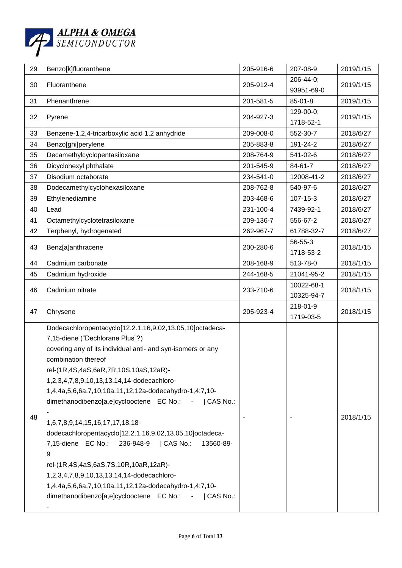

| 29 | Benzo[k]fluoranthene                                                                                                                                                                                                                                                                                                                                                                                                                                                                                                                                                                                                                                                                                                                                                 | 205-916-6 | 207-08-9                 | 2019/1/15 |
|----|----------------------------------------------------------------------------------------------------------------------------------------------------------------------------------------------------------------------------------------------------------------------------------------------------------------------------------------------------------------------------------------------------------------------------------------------------------------------------------------------------------------------------------------------------------------------------------------------------------------------------------------------------------------------------------------------------------------------------------------------------------------------|-----------|--------------------------|-----------|
| 30 | Fluoranthene                                                                                                                                                                                                                                                                                                                                                                                                                                                                                                                                                                                                                                                                                                                                                         | 205-912-4 | 206-44-0;                | 2019/1/15 |
|    |                                                                                                                                                                                                                                                                                                                                                                                                                                                                                                                                                                                                                                                                                                                                                                      |           | 93951-69-0               |           |
| 31 | Phenanthrene                                                                                                                                                                                                                                                                                                                                                                                                                                                                                                                                                                                                                                                                                                                                                         | 201-581-5 | $85 - 01 - 8$            | 2019/1/15 |
| 32 | Pyrene                                                                                                                                                                                                                                                                                                                                                                                                                                                                                                                                                                                                                                                                                                                                                               | 204-927-3 | 129-00-0;<br>1718-52-1   | 2019/1/15 |
| 33 | Benzene-1,2,4-tricarboxylic acid 1,2 anhydride                                                                                                                                                                                                                                                                                                                                                                                                                                                                                                                                                                                                                                                                                                                       | 209-008-0 | 552-30-7                 | 2018/6/27 |
| 34 | Benzo[ghi]perylene                                                                                                                                                                                                                                                                                                                                                                                                                                                                                                                                                                                                                                                                                                                                                   | 205-883-8 | 191-24-2                 | 2018/6/27 |
| 35 | Decamethylcyclopentasiloxane                                                                                                                                                                                                                                                                                                                                                                                                                                                                                                                                                                                                                                                                                                                                         | 208-764-9 | 541-02-6                 | 2018/6/27 |
| 36 | Dicyclohexyl phthalate                                                                                                                                                                                                                                                                                                                                                                                                                                                                                                                                                                                                                                                                                                                                               | 201-545-9 | 84-61-7                  | 2018/6/27 |
| 37 | Disodium octaborate                                                                                                                                                                                                                                                                                                                                                                                                                                                                                                                                                                                                                                                                                                                                                  | 234-541-0 | 12008-41-2               | 2018/6/27 |
| 38 | Dodecamethylcyclohexasiloxane                                                                                                                                                                                                                                                                                                                                                                                                                                                                                                                                                                                                                                                                                                                                        | 208-762-8 | 540-97-6                 | 2018/6/27 |
| 39 | Ethylenediamine                                                                                                                                                                                                                                                                                                                                                                                                                                                                                                                                                                                                                                                                                                                                                      | 203-468-6 | $107 - 15 - 3$           | 2018/6/27 |
| 40 | Lead                                                                                                                                                                                                                                                                                                                                                                                                                                                                                                                                                                                                                                                                                                                                                                 | 231-100-4 | 7439-92-1                | 2018/6/27 |
| 41 | Octamethylcyclotetrasiloxane                                                                                                                                                                                                                                                                                                                                                                                                                                                                                                                                                                                                                                                                                                                                         | 209-136-7 | 556-67-2                 | 2018/6/27 |
| 42 | Terphenyl, hydrogenated                                                                                                                                                                                                                                                                                                                                                                                                                                                                                                                                                                                                                                                                                                                                              | 262-967-7 | 61788-32-7               | 2018/6/27 |
| 43 | Benz[a]anthracene                                                                                                                                                                                                                                                                                                                                                                                                                                                                                                                                                                                                                                                                                                                                                    | 200-280-6 | 56-55-3<br>1718-53-2     | 2018/1/15 |
| 44 | Cadmium carbonate                                                                                                                                                                                                                                                                                                                                                                                                                                                                                                                                                                                                                                                                                                                                                    | 208-168-9 | 513-78-0                 | 2018/1/15 |
| 45 | Cadmium hydroxide                                                                                                                                                                                                                                                                                                                                                                                                                                                                                                                                                                                                                                                                                                                                                    | 244-168-5 | 21041-95-2               | 2018/1/15 |
| 46 | Cadmium nitrate                                                                                                                                                                                                                                                                                                                                                                                                                                                                                                                                                                                                                                                                                                                                                      | 233-710-6 | 10022-68-1<br>10325-94-7 | 2018/1/15 |
| 47 | Chrysene                                                                                                                                                                                                                                                                                                                                                                                                                                                                                                                                                                                                                                                                                                                                                             | 205-923-4 | 218-01-9<br>1719-03-5    | 2018/1/15 |
| 48 | Dodecachloropentacyclo[12.2.1.16,9.02,13.05,10]octadeca-<br>7,15-diene ("Dechlorane Plus"?)<br>covering any of its individual anti- and syn-isomers or any<br>combination thereof<br>rel-(1R,4S,4aS,6aR,7R,10S,10aS,12aR)-<br>1,2,3,4,7,8,9,10,13,13,14,14-dodecachloro-<br>1,4,4a,5,6,6a,7,10,10a,11,12,12a-dodecahydro-1,4:7,10-<br>dimethanodibenzo[a,e]cyclooctene EC No.: -   CAS No.:<br>1,6,7,8,9,14,15,16,17,17,18,18-<br>dodecachloropentacyclo[12.2.1.16,9.02,13.05,10]octadeca-<br>7,15-diene EC No.: 236-948-9<br>  CAS No.:<br>13560-89-<br>9<br>rel-(1R,4S,4aS,6aS,7S,10R,10aR,12aR)-<br>1,2,3,4,7,8,9,10,13,13,14,14-dodecachloro-<br>1,4,4a,5,6,6a,7,10,10a,11,12,12a-dodecahydro-1,4:7,10-<br>dimethanodibenzo[a,e]cyclooctene EC No.:<br>  CAS No. |           |                          | 2018/1/15 |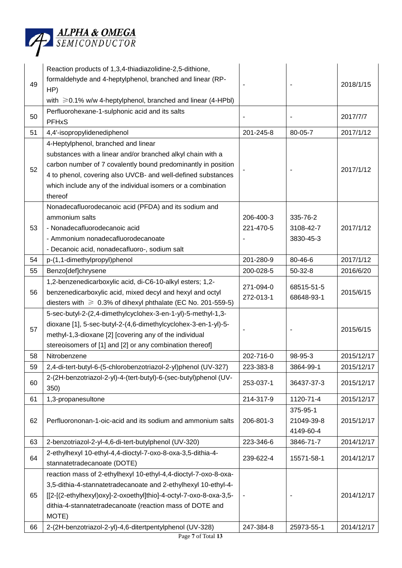

| 49       | Reaction products of 1,3,4-thiadiazolidine-2,5-dithione,<br>formaldehyde and 4-heptylphenol, branched and linear (RP-<br>HP)<br>with $\geq 0.1\%$ w/w 4-heptylphenol, branched and linear (4-HPbI)                                                                                                                                      |                        |                                     | 2018/1/15                |
|----------|-----------------------------------------------------------------------------------------------------------------------------------------------------------------------------------------------------------------------------------------------------------------------------------------------------------------------------------------|------------------------|-------------------------------------|--------------------------|
| 50       | Perfluorohexane-1-sulphonic acid and its salts<br><b>PFHxS</b>                                                                                                                                                                                                                                                                          |                        |                                     | 2017/7/7                 |
| 51       | 4,4'-isopropylidenediphenol                                                                                                                                                                                                                                                                                                             | 201-245-8              | 80-05-7                             | 2017/1/12                |
| 52       | 4-Heptylphenol, branched and linear<br>substances with a linear and/or branched alkyl chain with a<br>carbon number of 7 covalently bound predominantly in position<br>4 to phenol, covering also UVCB- and well-defined substances<br>which include any of the individual isomers or a combination<br>thereof                          |                        |                                     | 2017/1/12                |
| 53       | Nonadecafluorodecanoic acid (PFDA) and its sodium and<br>ammonium salts<br>- Nonadecafluorodecanoic acid<br>- Ammonium nonadecafluorodecanoate<br>- Decanoic acid, nonadecafluoro-, sodium salt                                                                                                                                         | 206-400-3<br>221-470-5 | 335-76-2<br>3108-42-7<br>3830-45-3  | 2017/1/12                |
| 54       | p-(1,1-dimethylpropyl)phenol                                                                                                                                                                                                                                                                                                            | 201-280-9              | 80-46-6                             | 2017/1/12                |
| 55       | Benzo[def]chrysene                                                                                                                                                                                                                                                                                                                      | 200-028-5              | $50-32-8$                           | 2016/6/20                |
| 56       | 1,2-benzenedicarboxylic acid, di-C6-10-alkyl esters; 1,2-<br>benzenedicarboxylic acid, mixed decyl and hexyl and octyl<br>diesters with $\geq 0.3\%$ of dihexyl phthalate (EC No. 201-559-5)                                                                                                                                            | 271-094-0<br>272-013-1 | 68515-51-5<br>68648-93-1            | 2015/6/15                |
| 57       | 5-sec-butyl-2-(2,4-dimethylcyclohex-3-en-1-yl)-5-methyl-1,3-<br>dioxane [1], 5-sec-butyl-2-(4,6-dimethylcyclohex-3-en-1-yl)-5-<br>methyl-1,3-dioxane [2] [covering any of the individual<br>stereoisomers of [1] and [2] or any combination thereof]                                                                                    |                        |                                     | 2015/6/15                |
| 58       | Nitrobenzene                                                                                                                                                                                                                                                                                                                            | 202-716-0              | 98-95-3                             | 2015/12/17               |
| 59       | 2,4-di-tert-butyl-6-(5-chlorobenzotriazol-2-yl)phenol (UV-327)                                                                                                                                                                                                                                                                          | 223-383-8              | 3864-99-1                           | 2015/12/17               |
| 60       | 2-(2H-benzotriazol-2-yl)-4-(tert-butyl)-6-(sec-butyl)phenol (UV-<br>350)                                                                                                                                                                                                                                                                | 253-037-1              | 36437-37-3                          | 2015/12/17               |
| 61       | 1,3-propanesultone                                                                                                                                                                                                                                                                                                                      | 214-317-9              | 1120-71-4                           | 2015/12/17               |
| 62       | Perfluorononan-1-oic-acid and its sodium and ammonium salts                                                                                                                                                                                                                                                                             | 206-801-3              | 375-95-1<br>21049-39-8<br>4149-60-4 | 2015/12/17               |
| 63       | 2-benzotriazol-2-yl-4,6-di-tert-butylphenol (UV-320)                                                                                                                                                                                                                                                                                    | 223-346-6              | 3846-71-7                           | 2014/12/17               |
| 64       | 2-ethylhexyl 10-ethyl-4,4-dioctyl-7-oxo-8-oxa-3,5-dithia-4-<br>stannatetradecanoate (DOTE)                                                                                                                                                                                                                                              | 239-622-4              | 15571-58-1                          | 2014/12/17               |
| 65<br>66 | reaction mass of 2-ethylhexyl 10-ethyl-4,4-dioctyl-7-oxo-8-oxa-<br>3,5-dithia-4-stannatetradecanoate and 2-ethylhexyl 10-ethyl-4-<br>[[2-[(2-ethylhexyl)oxy]-2-oxoethyl]thio]-4-octyl-7-oxo-8-oxa-3,5-<br>dithia-4-stannatetradecanoate (reaction mass of DOTE and<br>MOTE)<br>2-(2H-benzotriazol-2-yl)-4,6-ditertpentylphenol (UV-328) | 247-384-8              | 25973-55-1                          | 2014/12/17<br>2014/12/17 |
|          | Page 7 of Total 13                                                                                                                                                                                                                                                                                                                      |                        |                                     |                          |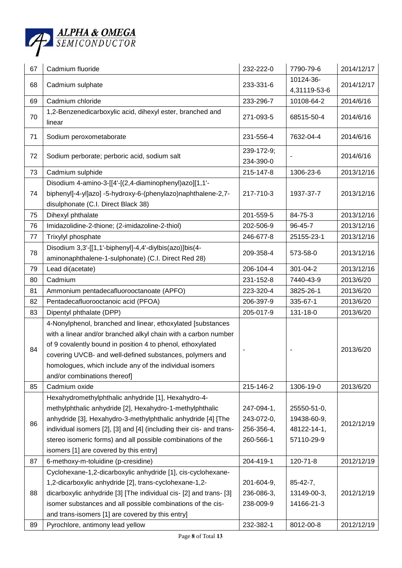

| 67 | Cadmium fluoride                                                                                                                                                                                                                                                                                                                                                 | 232-222-0                                           | 7790-79-6                                               | 2014/12/17 |
|----|------------------------------------------------------------------------------------------------------------------------------------------------------------------------------------------------------------------------------------------------------------------------------------------------------------------------------------------------------------------|-----------------------------------------------------|---------------------------------------------------------|------------|
| 68 | Cadmium sulphate                                                                                                                                                                                                                                                                                                                                                 | 233-331-6                                           | 10124-36-<br>4,31119-53-6                               | 2014/12/17 |
| 69 | Cadmium chloride                                                                                                                                                                                                                                                                                                                                                 | 233-296-7                                           | 10108-64-2                                              | 2014/6/16  |
| 70 | 1,2-Benzenedicarboxylic acid, dihexyl ester, branched and<br>linear                                                                                                                                                                                                                                                                                              | 271-093-5                                           | 68515-50-4                                              | 2014/6/16  |
| 71 | Sodium peroxometaborate                                                                                                                                                                                                                                                                                                                                          | 231-556-4                                           | 7632-04-4                                               | 2014/6/16  |
| 72 | Sodium perborate; perboric acid, sodium salt                                                                                                                                                                                                                                                                                                                     | 239-172-9;<br>234-390-0                             |                                                         | 2014/6/16  |
| 73 | Cadmium sulphide                                                                                                                                                                                                                                                                                                                                                 | 215-147-8                                           | 1306-23-6                                               | 2013/12/16 |
| 74 | Disodium 4-amino-3-[[4'-[(2,4-diaminophenyl)azo][1,1'-<br>biphenyl]-4-yl]azo] -5-hydroxy-6-(phenylazo)naphthalene-2,7-<br>disulphonate (C.I. Direct Black 38)                                                                                                                                                                                                    | 217-710-3                                           | 1937-37-7                                               | 2013/12/16 |
| 75 | Dihexyl phthalate                                                                                                                                                                                                                                                                                                                                                | 201-559-5                                           | 84-75-3                                                 | 2013/12/16 |
| 76 | Imidazolidine-2-thione; (2-imidazoline-2-thiol)                                                                                                                                                                                                                                                                                                                  | 202-506-9                                           | 96-45-7                                                 | 2013/12/16 |
| 77 | Trixylyl phosphate                                                                                                                                                                                                                                                                                                                                               | 246-677-8                                           | 25155-23-1                                              | 2013/12/16 |
| 78 | Disodium 3,3'-[[1,1'-biphenyl]-4,4'-diylbis(azo)]bis(4-<br>aminonaphthalene-1-sulphonate) (C.I. Direct Red 28)                                                                                                                                                                                                                                                   | 209-358-4                                           | 573-58-0                                                | 2013/12/16 |
| 79 | Lead di(acetate)                                                                                                                                                                                                                                                                                                                                                 | 206-104-4                                           | 301-04-2                                                | 2013/12/16 |
| 80 | Cadmium                                                                                                                                                                                                                                                                                                                                                          | 231-152-8                                           | 7440-43-9                                               | 2013/6/20  |
| 81 | Ammonium pentadecafluorooctanoate (APFO)                                                                                                                                                                                                                                                                                                                         | 223-320-4                                           | 3825-26-1                                               | 2013/6/20  |
| 82 | Pentadecafluorooctanoic acid (PFOA)                                                                                                                                                                                                                                                                                                                              | 206-397-9                                           | 335-67-1                                                | 2013/6/20  |
| 83 | Dipentyl phthalate (DPP)                                                                                                                                                                                                                                                                                                                                         | 205-017-9                                           | 131-18-0                                                | 2013/6/20  |
| 84 | 4-Nonylphenol, branched and linear, ethoxylated [substances<br>with a linear and/or branched alkyl chain with a carbon number<br>of 9 covalently bound in position 4 to phenol, ethoxylated<br>covering UVCB- and well-defined substances, polymers and<br>homologues, which include any of the individual isomers<br>and/or combinations thereof]               |                                                     |                                                         | 2013/6/20  |
| 85 | Cadmium oxide                                                                                                                                                                                                                                                                                                                                                    | 215-146-2                                           | 1306-19-0                                               | 2013/6/20  |
| 86 | Hexahydromethylphthalic anhydride [1], Hexahydro-4-<br>methylphthalic anhydride [2], Hexahydro-1-methylphthalic<br>anhydride [3], Hexahydro-3-methylphthalic anhydride [4] [The<br>individual isomers [2], [3] and [4] (including their cis- and trans-<br>stereo isomeric forms) and all possible combinations of the<br>isomers [1] are covered by this entry] | 247-094-1,<br>243-072-0,<br>256-356-4,<br>260-566-1 | 25550-51-0,<br>19438-60-9,<br>48122-14-1,<br>57110-29-9 | 2012/12/19 |
| 87 | 6-methoxy-m-toluidine (p-cresidine)                                                                                                                                                                                                                                                                                                                              | 204-419-1                                           | 120-71-8                                                | 2012/12/19 |
|    | Cyclohexane-1,2-dicarboxylic anhydride [1], cis-cyclohexane-                                                                                                                                                                                                                                                                                                     |                                                     |                                                         |            |
| 88 | 1,2-dicarboxylic anhydride [2], trans-cyclohexane-1,2-<br>dicarboxylic anhydride [3] [The individual cis- [2] and trans- [3]<br>isomer substances and all possible combinations of the cis-<br>and trans-isomers [1] are covered by this entry]                                                                                                                  | 201-604-9,<br>236-086-3,<br>238-009-9               | $85 - 42 - 7$ ,<br>13149-00-3,<br>14166-21-3            | 2012/12/19 |
| 89 | Pyrochlore, antimony lead yellow                                                                                                                                                                                                                                                                                                                                 | 232-382-1                                           | 8012-00-8                                               | 2012/12/19 |
|    |                                                                                                                                                                                                                                                                                                                                                                  |                                                     |                                                         |            |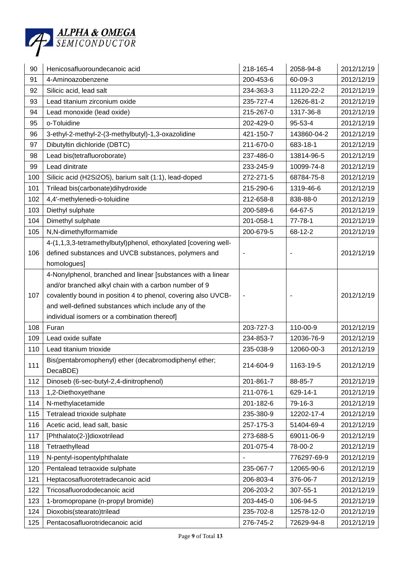

| 91<br>200-453-6<br>60-09-3<br>2012/12/19<br>4-Aminoazobenzene<br>11120-22-2<br>2012/12/19<br>92<br>Silicic acid, lead salt<br>234-363-3<br>Lead titanium zirconium oxide<br>235-727-4<br>12626-81-2<br>2012/12/19<br>93<br>215-267-0<br>1317-36-8<br>2012/12/19<br>94<br>Lead monoxide (lead oxide)<br>o-Toluidine<br>95-53-4<br>2012/12/19<br>95<br>202-429-0<br>3-ethyl-2-methyl-2-(3-methylbutyl)-1,3-oxazolidine<br>421-150-7<br>143860-04-2<br>2012/12/19<br>96<br>Dibutyltin dichloride (DBTC)<br>211-670-0<br>2012/12/19<br>97<br>683-18-1<br>Lead bis(tetrafluoroborate)<br>2012/12/19<br>98<br>237-486-0<br>13814-96-5<br>99<br>Lead dinitrate<br>10099-74-8<br>2012/12/19<br>233-245-9<br>Silicic acid (H2Si2O5), barium salt (1:1), lead-doped<br>100<br>272-271-5<br>68784-75-8<br>2012/12/19<br>Trilead bis(carbonate)dihydroxide<br>215-290-6<br>1319-46-6<br>2012/12/19<br>101<br>102<br>4,4'-methylenedi-o-toluidine<br>2012/12/19<br>212-658-8<br>838-88-0<br>Diethyl sulphate<br>103<br>200-589-6<br>64-67-5<br>2012/12/19<br>104<br>Dimethyl sulphate<br>201-058-1<br>77-78-1<br>2012/12/19<br>68-12-2<br>2012/12/19<br>105<br>N,N-dimethylformamide<br>200-679-5<br>4-(1,1,3,3-tetramethylbutyl)phenol, ethoxylated [covering well-<br>defined substances and UVCB substances, polymers and<br>2012/12/19<br>106<br>homologues]<br>4-Nonylphenol, branched and linear [substances with a linear<br>and/or branched alkyl chain with a carbon number of 9<br>covalently bound in position 4 to phenol, covering also UVCB-<br>2012/12/19<br>107<br>$\overline{\phantom{a}}$<br>and well-defined substances which include any of the<br>individual isomers or a combination thereof]<br>203-727-3<br>110-00-9<br>2012/12/19<br>108<br>Furan<br>109<br>Lead oxide sulfate<br>234-853-7<br>12036-76-9<br>2012/12/19<br>110<br>12060-00-3<br>2012/12/19<br>Lead titanium trioxide<br>235-038-9<br>Bis(pentabromophenyl) ether (decabromodiphenyl ether;<br>111<br>1163-19-5<br>2012/12/19<br>214-604-9<br>DecaBDE)<br>201-861-7<br>112<br>Dinoseb (6-sec-butyl-2,4-dinitrophenol)<br>88-85-7<br>2012/12/19<br>113<br>211-076-1<br>2012/12/19<br>1,2-Diethoxyethane<br>629-14-1<br>114<br>N-methylacetamide<br>201-182-6<br>79-16-3<br>2012/12/19<br>115<br>Tetralead trioxide sulphate<br>235-380-9<br>12202-17-4<br>2012/12/19<br>Acetic acid, lead salt, basic<br>257-175-3<br>51404-69-4<br>2012/12/19<br>116<br>117<br>69011-06-9<br>2012/12/19<br>[Phthalato(2-)]dioxotrilead<br>273-688-5<br>Tetraethyllead<br>201-075-4<br>78-00-2<br>2012/12/19<br>118<br>119<br>N-pentyl-isopentylphthalate<br>2012/12/19<br>776297-69-9<br>120<br>Pentalead tetraoxide sulphate<br>235-067-7<br>12065-90-6<br>2012/12/19<br>121<br>Heptacosafluorotetradecanoic acid<br>2012/12/19<br>206-803-4<br>376-06-7<br>Tricosafluorododecanoic acid<br>122<br>206-203-2<br>307-55-1<br>2012/12/19<br>123<br>1-bromopropane (n-propyl bromide)<br>2012/12/19<br>203-445-0<br>106-94-5<br>Dioxobis(stearato)trilead<br>12578-12-0<br>2012/12/19<br>124<br>235-702-8 | 90  | Henicosafluoroundecanoic acid   | 218-165-4 | 2058-94-8  | 2012/12/19 |
|--------------------------------------------------------------------------------------------------------------------------------------------------------------------------------------------------------------------------------------------------------------------------------------------------------------------------------------------------------------------------------------------------------------------------------------------------------------------------------------------------------------------------------------------------------------------------------------------------------------------------------------------------------------------------------------------------------------------------------------------------------------------------------------------------------------------------------------------------------------------------------------------------------------------------------------------------------------------------------------------------------------------------------------------------------------------------------------------------------------------------------------------------------------------------------------------------------------------------------------------------------------------------------------------------------------------------------------------------------------------------------------------------------------------------------------------------------------------------------------------------------------------------------------------------------------------------------------------------------------------------------------------------------------------------------------------------------------------------------------------------------------------------------------------------------------------------------------------------------------------------------------------------------------------------------------------------------------------------------------------------------------------------------------------------------------------------------------------------------------------------------------------------------------------------------------------------------------------------------------------------------------------------------------------------------------------------------------------------------------------------------------------------------------------------------------------------------------------------------------------------------------------------------------------------------------------------------------------------------------------------------------------------------------------------------------------------------------------------------------------------------------------------------------------------------------------------------------------------------------------------------------------------------------------------------------------------------------------------------------------------------------------------------------------------------------------|-----|---------------------------------|-----------|------------|------------|
|                                                                                                                                                                                                                                                                                                                                                                                                                                                                                                                                                                                                                                                                                                                                                                                                                                                                                                                                                                                                                                                                                                                                                                                                                                                                                                                                                                                                                                                                                                                                                                                                                                                                                                                                                                                                                                                                                                                                                                                                                                                                                                                                                                                                                                                                                                                                                                                                                                                                                                                                                                                                                                                                                                                                                                                                                                                                                                                                                                                                                                                                    |     |                                 |           |            |            |
|                                                                                                                                                                                                                                                                                                                                                                                                                                                                                                                                                                                                                                                                                                                                                                                                                                                                                                                                                                                                                                                                                                                                                                                                                                                                                                                                                                                                                                                                                                                                                                                                                                                                                                                                                                                                                                                                                                                                                                                                                                                                                                                                                                                                                                                                                                                                                                                                                                                                                                                                                                                                                                                                                                                                                                                                                                                                                                                                                                                                                                                                    |     |                                 |           |            |            |
|                                                                                                                                                                                                                                                                                                                                                                                                                                                                                                                                                                                                                                                                                                                                                                                                                                                                                                                                                                                                                                                                                                                                                                                                                                                                                                                                                                                                                                                                                                                                                                                                                                                                                                                                                                                                                                                                                                                                                                                                                                                                                                                                                                                                                                                                                                                                                                                                                                                                                                                                                                                                                                                                                                                                                                                                                                                                                                                                                                                                                                                                    |     |                                 |           |            |            |
|                                                                                                                                                                                                                                                                                                                                                                                                                                                                                                                                                                                                                                                                                                                                                                                                                                                                                                                                                                                                                                                                                                                                                                                                                                                                                                                                                                                                                                                                                                                                                                                                                                                                                                                                                                                                                                                                                                                                                                                                                                                                                                                                                                                                                                                                                                                                                                                                                                                                                                                                                                                                                                                                                                                                                                                                                                                                                                                                                                                                                                                                    |     |                                 |           |            |            |
|                                                                                                                                                                                                                                                                                                                                                                                                                                                                                                                                                                                                                                                                                                                                                                                                                                                                                                                                                                                                                                                                                                                                                                                                                                                                                                                                                                                                                                                                                                                                                                                                                                                                                                                                                                                                                                                                                                                                                                                                                                                                                                                                                                                                                                                                                                                                                                                                                                                                                                                                                                                                                                                                                                                                                                                                                                                                                                                                                                                                                                                                    |     |                                 |           |            |            |
|                                                                                                                                                                                                                                                                                                                                                                                                                                                                                                                                                                                                                                                                                                                                                                                                                                                                                                                                                                                                                                                                                                                                                                                                                                                                                                                                                                                                                                                                                                                                                                                                                                                                                                                                                                                                                                                                                                                                                                                                                                                                                                                                                                                                                                                                                                                                                                                                                                                                                                                                                                                                                                                                                                                                                                                                                                                                                                                                                                                                                                                                    |     |                                 |           |            |            |
|                                                                                                                                                                                                                                                                                                                                                                                                                                                                                                                                                                                                                                                                                                                                                                                                                                                                                                                                                                                                                                                                                                                                                                                                                                                                                                                                                                                                                                                                                                                                                                                                                                                                                                                                                                                                                                                                                                                                                                                                                                                                                                                                                                                                                                                                                                                                                                                                                                                                                                                                                                                                                                                                                                                                                                                                                                                                                                                                                                                                                                                                    |     |                                 |           |            |            |
|                                                                                                                                                                                                                                                                                                                                                                                                                                                                                                                                                                                                                                                                                                                                                                                                                                                                                                                                                                                                                                                                                                                                                                                                                                                                                                                                                                                                                                                                                                                                                                                                                                                                                                                                                                                                                                                                                                                                                                                                                                                                                                                                                                                                                                                                                                                                                                                                                                                                                                                                                                                                                                                                                                                                                                                                                                                                                                                                                                                                                                                                    |     |                                 |           |            |            |
|                                                                                                                                                                                                                                                                                                                                                                                                                                                                                                                                                                                                                                                                                                                                                                                                                                                                                                                                                                                                                                                                                                                                                                                                                                                                                                                                                                                                                                                                                                                                                                                                                                                                                                                                                                                                                                                                                                                                                                                                                                                                                                                                                                                                                                                                                                                                                                                                                                                                                                                                                                                                                                                                                                                                                                                                                                                                                                                                                                                                                                                                    |     |                                 |           |            |            |
|                                                                                                                                                                                                                                                                                                                                                                                                                                                                                                                                                                                                                                                                                                                                                                                                                                                                                                                                                                                                                                                                                                                                                                                                                                                                                                                                                                                                                                                                                                                                                                                                                                                                                                                                                                                                                                                                                                                                                                                                                                                                                                                                                                                                                                                                                                                                                                                                                                                                                                                                                                                                                                                                                                                                                                                                                                                                                                                                                                                                                                                                    |     |                                 |           |            |            |
|                                                                                                                                                                                                                                                                                                                                                                                                                                                                                                                                                                                                                                                                                                                                                                                                                                                                                                                                                                                                                                                                                                                                                                                                                                                                                                                                                                                                                                                                                                                                                                                                                                                                                                                                                                                                                                                                                                                                                                                                                                                                                                                                                                                                                                                                                                                                                                                                                                                                                                                                                                                                                                                                                                                                                                                                                                                                                                                                                                                                                                                                    |     |                                 |           |            |            |
|                                                                                                                                                                                                                                                                                                                                                                                                                                                                                                                                                                                                                                                                                                                                                                                                                                                                                                                                                                                                                                                                                                                                                                                                                                                                                                                                                                                                                                                                                                                                                                                                                                                                                                                                                                                                                                                                                                                                                                                                                                                                                                                                                                                                                                                                                                                                                                                                                                                                                                                                                                                                                                                                                                                                                                                                                                                                                                                                                                                                                                                                    |     |                                 |           |            |            |
|                                                                                                                                                                                                                                                                                                                                                                                                                                                                                                                                                                                                                                                                                                                                                                                                                                                                                                                                                                                                                                                                                                                                                                                                                                                                                                                                                                                                                                                                                                                                                                                                                                                                                                                                                                                                                                                                                                                                                                                                                                                                                                                                                                                                                                                                                                                                                                                                                                                                                                                                                                                                                                                                                                                                                                                                                                                                                                                                                                                                                                                                    |     |                                 |           |            |            |
|                                                                                                                                                                                                                                                                                                                                                                                                                                                                                                                                                                                                                                                                                                                                                                                                                                                                                                                                                                                                                                                                                                                                                                                                                                                                                                                                                                                                                                                                                                                                                                                                                                                                                                                                                                                                                                                                                                                                                                                                                                                                                                                                                                                                                                                                                                                                                                                                                                                                                                                                                                                                                                                                                                                                                                                                                                                                                                                                                                                                                                                                    |     |                                 |           |            |            |
|                                                                                                                                                                                                                                                                                                                                                                                                                                                                                                                                                                                                                                                                                                                                                                                                                                                                                                                                                                                                                                                                                                                                                                                                                                                                                                                                                                                                                                                                                                                                                                                                                                                                                                                                                                                                                                                                                                                                                                                                                                                                                                                                                                                                                                                                                                                                                                                                                                                                                                                                                                                                                                                                                                                                                                                                                                                                                                                                                                                                                                                                    |     |                                 |           |            |            |
|                                                                                                                                                                                                                                                                                                                                                                                                                                                                                                                                                                                                                                                                                                                                                                                                                                                                                                                                                                                                                                                                                                                                                                                                                                                                                                                                                                                                                                                                                                                                                                                                                                                                                                                                                                                                                                                                                                                                                                                                                                                                                                                                                                                                                                                                                                                                                                                                                                                                                                                                                                                                                                                                                                                                                                                                                                                                                                                                                                                                                                                                    |     |                                 |           |            |            |
|                                                                                                                                                                                                                                                                                                                                                                                                                                                                                                                                                                                                                                                                                                                                                                                                                                                                                                                                                                                                                                                                                                                                                                                                                                                                                                                                                                                                                                                                                                                                                                                                                                                                                                                                                                                                                                                                                                                                                                                                                                                                                                                                                                                                                                                                                                                                                                                                                                                                                                                                                                                                                                                                                                                                                                                                                                                                                                                                                                                                                                                                    |     |                                 |           |            |            |
|                                                                                                                                                                                                                                                                                                                                                                                                                                                                                                                                                                                                                                                                                                                                                                                                                                                                                                                                                                                                                                                                                                                                                                                                                                                                                                                                                                                                                                                                                                                                                                                                                                                                                                                                                                                                                                                                                                                                                                                                                                                                                                                                                                                                                                                                                                                                                                                                                                                                                                                                                                                                                                                                                                                                                                                                                                                                                                                                                                                                                                                                    |     |                                 |           |            |            |
|                                                                                                                                                                                                                                                                                                                                                                                                                                                                                                                                                                                                                                                                                                                                                                                                                                                                                                                                                                                                                                                                                                                                                                                                                                                                                                                                                                                                                                                                                                                                                                                                                                                                                                                                                                                                                                                                                                                                                                                                                                                                                                                                                                                                                                                                                                                                                                                                                                                                                                                                                                                                                                                                                                                                                                                                                                                                                                                                                                                                                                                                    |     |                                 |           |            |            |
|                                                                                                                                                                                                                                                                                                                                                                                                                                                                                                                                                                                                                                                                                                                                                                                                                                                                                                                                                                                                                                                                                                                                                                                                                                                                                                                                                                                                                                                                                                                                                                                                                                                                                                                                                                                                                                                                                                                                                                                                                                                                                                                                                                                                                                                                                                                                                                                                                                                                                                                                                                                                                                                                                                                                                                                                                                                                                                                                                                                                                                                                    |     |                                 |           |            |            |
|                                                                                                                                                                                                                                                                                                                                                                                                                                                                                                                                                                                                                                                                                                                                                                                                                                                                                                                                                                                                                                                                                                                                                                                                                                                                                                                                                                                                                                                                                                                                                                                                                                                                                                                                                                                                                                                                                                                                                                                                                                                                                                                                                                                                                                                                                                                                                                                                                                                                                                                                                                                                                                                                                                                                                                                                                                                                                                                                                                                                                                                                    |     |                                 |           |            |            |
|                                                                                                                                                                                                                                                                                                                                                                                                                                                                                                                                                                                                                                                                                                                                                                                                                                                                                                                                                                                                                                                                                                                                                                                                                                                                                                                                                                                                                                                                                                                                                                                                                                                                                                                                                                                                                                                                                                                                                                                                                                                                                                                                                                                                                                                                                                                                                                                                                                                                                                                                                                                                                                                                                                                                                                                                                                                                                                                                                                                                                                                                    |     |                                 |           |            |            |
|                                                                                                                                                                                                                                                                                                                                                                                                                                                                                                                                                                                                                                                                                                                                                                                                                                                                                                                                                                                                                                                                                                                                                                                                                                                                                                                                                                                                                                                                                                                                                                                                                                                                                                                                                                                                                                                                                                                                                                                                                                                                                                                                                                                                                                                                                                                                                                                                                                                                                                                                                                                                                                                                                                                                                                                                                                                                                                                                                                                                                                                                    |     |                                 |           |            |            |
|                                                                                                                                                                                                                                                                                                                                                                                                                                                                                                                                                                                                                                                                                                                                                                                                                                                                                                                                                                                                                                                                                                                                                                                                                                                                                                                                                                                                                                                                                                                                                                                                                                                                                                                                                                                                                                                                                                                                                                                                                                                                                                                                                                                                                                                                                                                                                                                                                                                                                                                                                                                                                                                                                                                                                                                                                                                                                                                                                                                                                                                                    |     |                                 |           |            |            |
|                                                                                                                                                                                                                                                                                                                                                                                                                                                                                                                                                                                                                                                                                                                                                                                                                                                                                                                                                                                                                                                                                                                                                                                                                                                                                                                                                                                                                                                                                                                                                                                                                                                                                                                                                                                                                                                                                                                                                                                                                                                                                                                                                                                                                                                                                                                                                                                                                                                                                                                                                                                                                                                                                                                                                                                                                                                                                                                                                                                                                                                                    |     |                                 |           |            |            |
|                                                                                                                                                                                                                                                                                                                                                                                                                                                                                                                                                                                                                                                                                                                                                                                                                                                                                                                                                                                                                                                                                                                                                                                                                                                                                                                                                                                                                                                                                                                                                                                                                                                                                                                                                                                                                                                                                                                                                                                                                                                                                                                                                                                                                                                                                                                                                                                                                                                                                                                                                                                                                                                                                                                                                                                                                                                                                                                                                                                                                                                                    |     |                                 |           |            |            |
|                                                                                                                                                                                                                                                                                                                                                                                                                                                                                                                                                                                                                                                                                                                                                                                                                                                                                                                                                                                                                                                                                                                                                                                                                                                                                                                                                                                                                                                                                                                                                                                                                                                                                                                                                                                                                                                                                                                                                                                                                                                                                                                                                                                                                                                                                                                                                                                                                                                                                                                                                                                                                                                                                                                                                                                                                                                                                                                                                                                                                                                                    |     |                                 |           |            |            |
|                                                                                                                                                                                                                                                                                                                                                                                                                                                                                                                                                                                                                                                                                                                                                                                                                                                                                                                                                                                                                                                                                                                                                                                                                                                                                                                                                                                                                                                                                                                                                                                                                                                                                                                                                                                                                                                                                                                                                                                                                                                                                                                                                                                                                                                                                                                                                                                                                                                                                                                                                                                                                                                                                                                                                                                                                                                                                                                                                                                                                                                                    |     |                                 |           |            |            |
|                                                                                                                                                                                                                                                                                                                                                                                                                                                                                                                                                                                                                                                                                                                                                                                                                                                                                                                                                                                                                                                                                                                                                                                                                                                                                                                                                                                                                                                                                                                                                                                                                                                                                                                                                                                                                                                                                                                                                                                                                                                                                                                                                                                                                                                                                                                                                                                                                                                                                                                                                                                                                                                                                                                                                                                                                                                                                                                                                                                                                                                                    |     |                                 |           |            |            |
|                                                                                                                                                                                                                                                                                                                                                                                                                                                                                                                                                                                                                                                                                                                                                                                                                                                                                                                                                                                                                                                                                                                                                                                                                                                                                                                                                                                                                                                                                                                                                                                                                                                                                                                                                                                                                                                                                                                                                                                                                                                                                                                                                                                                                                                                                                                                                                                                                                                                                                                                                                                                                                                                                                                                                                                                                                                                                                                                                                                                                                                                    |     |                                 |           |            |            |
|                                                                                                                                                                                                                                                                                                                                                                                                                                                                                                                                                                                                                                                                                                                                                                                                                                                                                                                                                                                                                                                                                                                                                                                                                                                                                                                                                                                                                                                                                                                                                                                                                                                                                                                                                                                                                                                                                                                                                                                                                                                                                                                                                                                                                                                                                                                                                                                                                                                                                                                                                                                                                                                                                                                                                                                                                                                                                                                                                                                                                                                                    |     |                                 |           |            |            |
|                                                                                                                                                                                                                                                                                                                                                                                                                                                                                                                                                                                                                                                                                                                                                                                                                                                                                                                                                                                                                                                                                                                                                                                                                                                                                                                                                                                                                                                                                                                                                                                                                                                                                                                                                                                                                                                                                                                                                                                                                                                                                                                                                                                                                                                                                                                                                                                                                                                                                                                                                                                                                                                                                                                                                                                                                                                                                                                                                                                                                                                                    |     |                                 |           |            |            |
|                                                                                                                                                                                                                                                                                                                                                                                                                                                                                                                                                                                                                                                                                                                                                                                                                                                                                                                                                                                                                                                                                                                                                                                                                                                                                                                                                                                                                                                                                                                                                                                                                                                                                                                                                                                                                                                                                                                                                                                                                                                                                                                                                                                                                                                                                                                                                                                                                                                                                                                                                                                                                                                                                                                                                                                                                                                                                                                                                                                                                                                                    |     |                                 |           |            |            |
|                                                                                                                                                                                                                                                                                                                                                                                                                                                                                                                                                                                                                                                                                                                                                                                                                                                                                                                                                                                                                                                                                                                                                                                                                                                                                                                                                                                                                                                                                                                                                                                                                                                                                                                                                                                                                                                                                                                                                                                                                                                                                                                                                                                                                                                                                                                                                                                                                                                                                                                                                                                                                                                                                                                                                                                                                                                                                                                                                                                                                                                                    |     |                                 |           |            |            |
|                                                                                                                                                                                                                                                                                                                                                                                                                                                                                                                                                                                                                                                                                                                                                                                                                                                                                                                                                                                                                                                                                                                                                                                                                                                                                                                                                                                                                                                                                                                                                                                                                                                                                                                                                                                                                                                                                                                                                                                                                                                                                                                                                                                                                                                                                                                                                                                                                                                                                                                                                                                                                                                                                                                                                                                                                                                                                                                                                                                                                                                                    |     |                                 |           |            |            |
|                                                                                                                                                                                                                                                                                                                                                                                                                                                                                                                                                                                                                                                                                                                                                                                                                                                                                                                                                                                                                                                                                                                                                                                                                                                                                                                                                                                                                                                                                                                                                                                                                                                                                                                                                                                                                                                                                                                                                                                                                                                                                                                                                                                                                                                                                                                                                                                                                                                                                                                                                                                                                                                                                                                                                                                                                                                                                                                                                                                                                                                                    |     |                                 |           |            |            |
|                                                                                                                                                                                                                                                                                                                                                                                                                                                                                                                                                                                                                                                                                                                                                                                                                                                                                                                                                                                                                                                                                                                                                                                                                                                                                                                                                                                                                                                                                                                                                                                                                                                                                                                                                                                                                                                                                                                                                                                                                                                                                                                                                                                                                                                                                                                                                                                                                                                                                                                                                                                                                                                                                                                                                                                                                                                                                                                                                                                                                                                                    |     |                                 |           |            |            |
|                                                                                                                                                                                                                                                                                                                                                                                                                                                                                                                                                                                                                                                                                                                                                                                                                                                                                                                                                                                                                                                                                                                                                                                                                                                                                                                                                                                                                                                                                                                                                                                                                                                                                                                                                                                                                                                                                                                                                                                                                                                                                                                                                                                                                                                                                                                                                                                                                                                                                                                                                                                                                                                                                                                                                                                                                                                                                                                                                                                                                                                                    |     |                                 |           |            |            |
|                                                                                                                                                                                                                                                                                                                                                                                                                                                                                                                                                                                                                                                                                                                                                                                                                                                                                                                                                                                                                                                                                                                                                                                                                                                                                                                                                                                                                                                                                                                                                                                                                                                                                                                                                                                                                                                                                                                                                                                                                                                                                                                                                                                                                                                                                                                                                                                                                                                                                                                                                                                                                                                                                                                                                                                                                                                                                                                                                                                                                                                                    |     |                                 |           |            |            |
|                                                                                                                                                                                                                                                                                                                                                                                                                                                                                                                                                                                                                                                                                                                                                                                                                                                                                                                                                                                                                                                                                                                                                                                                                                                                                                                                                                                                                                                                                                                                                                                                                                                                                                                                                                                                                                                                                                                                                                                                                                                                                                                                                                                                                                                                                                                                                                                                                                                                                                                                                                                                                                                                                                                                                                                                                                                                                                                                                                                                                                                                    |     |                                 |           |            |            |
|                                                                                                                                                                                                                                                                                                                                                                                                                                                                                                                                                                                                                                                                                                                                                                                                                                                                                                                                                                                                                                                                                                                                                                                                                                                                                                                                                                                                                                                                                                                                                                                                                                                                                                                                                                                                                                                                                                                                                                                                                                                                                                                                                                                                                                                                                                                                                                                                                                                                                                                                                                                                                                                                                                                                                                                                                                                                                                                                                                                                                                                                    | 125 | Pentacosafluorotridecanoic acid | 276-745-2 | 72629-94-8 | 2012/12/19 |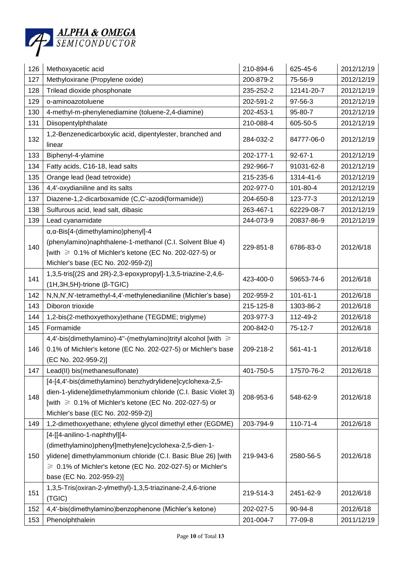

| 126 | Methoxyacetic acid                                                                                                                                                                                                                                          | 210-894-6 | 625-45-6       | 2012/12/19 |
|-----|-------------------------------------------------------------------------------------------------------------------------------------------------------------------------------------------------------------------------------------------------------------|-----------|----------------|------------|
| 127 | Methyloxirane (Propylene oxide)                                                                                                                                                                                                                             | 200-879-2 | 75-56-9        | 2012/12/19 |
| 128 | Trilead dioxide phosphonate                                                                                                                                                                                                                                 | 235-252-2 | 12141-20-7     | 2012/12/19 |
| 129 | o-aminoazotoluene                                                                                                                                                                                                                                           | 202-591-2 | 97-56-3        | 2012/12/19 |
| 130 | 4-methyl-m-phenylenediamine (toluene-2,4-diamine)                                                                                                                                                                                                           | 202-453-1 | 95-80-7        | 2012/12/19 |
| 131 | Diisopentylphthalate                                                                                                                                                                                                                                        | 210-088-4 | 605-50-5       | 2012/12/19 |
| 132 | 1,2-Benzenedicarboxylic acid, dipentylester, branched and<br>linear                                                                                                                                                                                         | 284-032-2 | 84777-06-0     | 2012/12/19 |
| 133 | Biphenyl-4-ylamine                                                                                                                                                                                                                                          | 202-177-1 | $92 - 67 - 1$  | 2012/12/19 |
| 134 | Fatty acids, C16-18, lead salts                                                                                                                                                                                                                             | 292-966-7 | 91031-62-8     | 2012/12/19 |
| 135 | Orange lead (lead tetroxide)                                                                                                                                                                                                                                | 215-235-6 | 1314-41-6      | 2012/12/19 |
| 136 | 4,4'-oxydianiline and its salts                                                                                                                                                                                                                             | 202-977-0 | 101-80-4       | 2012/12/19 |
| 137 | Diazene-1,2-dicarboxamide (C,C'-azodi(formamide))                                                                                                                                                                                                           | 204-650-8 | 123-77-3       | 2012/12/19 |
| 138 | Sulfurous acid, lead salt, dibasic                                                                                                                                                                                                                          | 263-467-1 | 62229-08-7     | 2012/12/19 |
| 139 | Lead cyanamidate                                                                                                                                                                                                                                            | 244-073-9 | 20837-86-9     | 2012/12/19 |
| 140 | α, α-Bis[4-(dimethylamino) phenyl]-4<br>(phenylamino)naphthalene-1-methanol (C.I. Solvent Blue 4)<br>[with ≥ 0.1% of Michler's ketone (EC No. 202-027-5) or<br>Michler's base (EC No. 202-959-2)]                                                           | 229-851-8 | 6786-83-0      | 2012/6/18  |
| 141 | 1,3,5-tris[(2S and 2R)-2,3-epoxypropyl]-1,3,5-triazine-2,4,6-<br>$(1H, 3H, 5H)$ -trione ( $\beta$ -TGIC)                                                                                                                                                    | 423-400-0 | 59653-74-6     | 2012/6/18  |
| 142 | N, N, N', N'-tetramethyl-4, 4'-methylenedianiline (Michler's base)                                                                                                                                                                                          | 202-959-2 | $101 - 61 - 1$ | 2012/6/18  |
| 143 | Diboron trioxide                                                                                                                                                                                                                                            | 215-125-8 | 1303-86-2      | 2012/6/18  |
| 144 | 1,2-bis(2-methoxyethoxy)ethane (TEGDME; triglyme)                                                                                                                                                                                                           | 203-977-3 | 112-49-2       | 2012/6/18  |
| 145 | Formamide                                                                                                                                                                                                                                                   | 200-842-0 | 75-12-7        | 2012/6/18  |
| 146 | 4,4'-bis(dimethylamino)-4"-(methylamino)trityl alcohol [with ≥<br>0.1% of Michler's ketone (EC No. 202-027-5) or Michler's base<br>(EC No. 202-959-2)]                                                                                                      | 209-218-2 | 561-41-1       | 2012/6/18  |
| 147 | Lead(II) bis(methanesulfonate)                                                                                                                                                                                                                              | 401-750-5 | 17570-76-2     | 2012/6/18  |
| 148 | [4-[4,4'-bis(dimethylamino) benzhydrylidene]cyclohexa-2,5-<br>dien-1-ylidene]dimethylammonium chloride (C.I. Basic Violet 3)<br>[with $\geq 0.1\%$ of Michler's ketone (EC No. 202-027-5) or<br>Michler's base (EC No. 202-959-2)]                          | 208-953-6 | 548-62-9       | 2012/6/18  |
| 149 | 1,2-dimethoxyethane; ethylene glycol dimethyl ether (EGDME)                                                                                                                                                                                                 | 203-794-9 | 110-71-4       | 2012/6/18  |
| 150 | [4-[[4-anilino-1-naphthyl][4-<br>(dimethylamino)phenyl]methylene]cyclohexa-2,5-dien-1-<br>ylidene] dimethylammonium chloride (C.I. Basic Blue 26) [with<br>$\geqslant$ 0.1% of Michler's ketone (EC No. 202-027-5) or Michler's<br>base (EC No. 202-959-2)] | 219-943-6 | 2580-56-5      | 2012/6/18  |
| 151 | 1,3,5-Tris(oxiran-2-ylmethyl)-1,3,5-triazinane-2,4,6-trione<br>(TGIC)                                                                                                                                                                                       | 219-514-3 | 2451-62-9      | 2012/6/18  |
| 152 | 4,4'-bis(dimethylamino)benzophenone (Michler's ketone)                                                                                                                                                                                                      | 202-027-5 | 90-94-8        | 2012/6/18  |
| 153 | Phenolphthalein                                                                                                                                                                                                                                             | 201-004-7 | 77-09-8        | 2011/12/19 |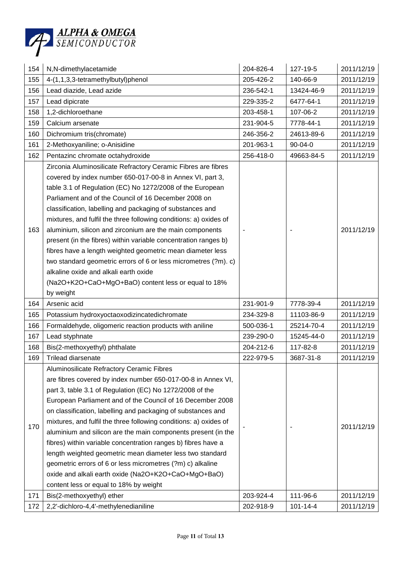

| 154 | N,N-dimethylacetamide                                                                                                                                                                                                                                                                                                                                                                                                                                                                                                                                                                                                                                                                                                                                          | 204-826-4 | 127-19-5      | 2011/12/19 |
|-----|----------------------------------------------------------------------------------------------------------------------------------------------------------------------------------------------------------------------------------------------------------------------------------------------------------------------------------------------------------------------------------------------------------------------------------------------------------------------------------------------------------------------------------------------------------------------------------------------------------------------------------------------------------------------------------------------------------------------------------------------------------------|-----------|---------------|------------|
| 155 | 4-(1,1,3,3-tetramethylbutyl)phenol                                                                                                                                                                                                                                                                                                                                                                                                                                                                                                                                                                                                                                                                                                                             | 205-426-2 | 140-66-9      | 2011/12/19 |
| 156 | Lead diazide, Lead azide                                                                                                                                                                                                                                                                                                                                                                                                                                                                                                                                                                                                                                                                                                                                       | 236-542-1 | 13424-46-9    | 2011/12/19 |
| 157 | Lead dipicrate                                                                                                                                                                                                                                                                                                                                                                                                                                                                                                                                                                                                                                                                                                                                                 | 229-335-2 | 6477-64-1     | 2011/12/19 |
| 158 | 1,2-dichloroethane                                                                                                                                                                                                                                                                                                                                                                                                                                                                                                                                                                                                                                                                                                                                             | 203-458-1 | 107-06-2      | 2011/12/19 |
| 159 | Calcium arsenate                                                                                                                                                                                                                                                                                                                                                                                                                                                                                                                                                                                                                                                                                                                                               | 231-904-5 | 7778-44-1     | 2011/12/19 |
| 160 | Dichromium tris(chromate)                                                                                                                                                                                                                                                                                                                                                                                                                                                                                                                                                                                                                                                                                                                                      | 246-356-2 | 24613-89-6    | 2011/12/19 |
| 161 | 2-Methoxyaniline; o-Anisidine                                                                                                                                                                                                                                                                                                                                                                                                                                                                                                                                                                                                                                                                                                                                  | 201-963-1 | $90 - 04 - 0$ | 2011/12/19 |
| 162 | Pentazinc chromate octahydroxide                                                                                                                                                                                                                                                                                                                                                                                                                                                                                                                                                                                                                                                                                                                               | 256-418-0 | 49663-84-5    | 2011/12/19 |
| 163 | Zirconia Aluminosilicate Refractory Ceramic Fibres are fibres<br>covered by index number 650-017-00-8 in Annex VI, part 3,<br>table 3.1 of Regulation (EC) No 1272/2008 of the European<br>Parliament and of the Council of 16 December 2008 on<br>classification, labelling and packaging of substances and<br>mixtures, and fulfil the three following conditions: a) oxides of<br>aluminium, silicon and zirconium are the main components<br>present (in the fibres) within variable concentration ranges b)<br>fibres have a length weighted geometric mean diameter less<br>two standard geometric errors of 6 or less micrometres (?m). c)<br>alkaline oxide and alkali earth oxide<br>(Na2O+K2O+CaO+MgO+BaO) content less or equal to 18%<br>by weight |           |               | 2011/12/19 |
| 164 | Arsenic acid                                                                                                                                                                                                                                                                                                                                                                                                                                                                                                                                                                                                                                                                                                                                                   | 231-901-9 | 7778-39-4     | 2011/12/19 |
| 165 | Potassium hydroxyoctaoxodizincatedichromate                                                                                                                                                                                                                                                                                                                                                                                                                                                                                                                                                                                                                                                                                                                    | 234-329-8 | 11103-86-9    | 2011/12/19 |
| 166 | Formaldehyde, oligomeric reaction products with aniline                                                                                                                                                                                                                                                                                                                                                                                                                                                                                                                                                                                                                                                                                                        | 500-036-1 | 25214-70-4    | 2011/12/19 |
| 167 | Lead styphnate                                                                                                                                                                                                                                                                                                                                                                                                                                                                                                                                                                                                                                                                                                                                                 | 239-290-0 | 15245-44-0    | 2011/12/19 |
| 168 | Bis(2-methoxyethyl) phthalate                                                                                                                                                                                                                                                                                                                                                                                                                                                                                                                                                                                                                                                                                                                                  | 204-212-6 | 117-82-8      | 2011/12/19 |
| 169 | Trilead diarsenate                                                                                                                                                                                                                                                                                                                                                                                                                                                                                                                                                                                                                                                                                                                                             | 222-979-5 | 3687-31-8     | 2011/12/19 |
| 170 | Aluminosilicate Refractory Ceramic Fibres<br>are fibres covered by index number 650-017-00-8 in Annex VI,<br>part 3, table 3.1 of Regulation (EC) No 1272/2008 of the<br>European Parliament and of the Council of 16 December 2008<br>on classification, labelling and packaging of substances and<br>mixtures, and fulfil the three following conditions: a) oxides of<br>aluminium and silicon are the main components present (in the<br>fibres) within variable concentration ranges b) fibres have a<br>length weighted geometric mean diameter less two standard<br>geometric errors of 6 or less micrometres (?m) c) alkaline<br>oxide and alkali earth oxide (Na2O+K2O+CaO+MgO+BaO)                                                                   |           |               | 2011/12/19 |
|     | content less or equal to 18% by weight                                                                                                                                                                                                                                                                                                                                                                                                                                                                                                                                                                                                                                                                                                                         |           |               |            |
| 171 | Bis(2-methoxyethyl) ether                                                                                                                                                                                                                                                                                                                                                                                                                                                                                                                                                                                                                                                                                                                                      | 203-924-4 | 111-96-6      | 2011/12/19 |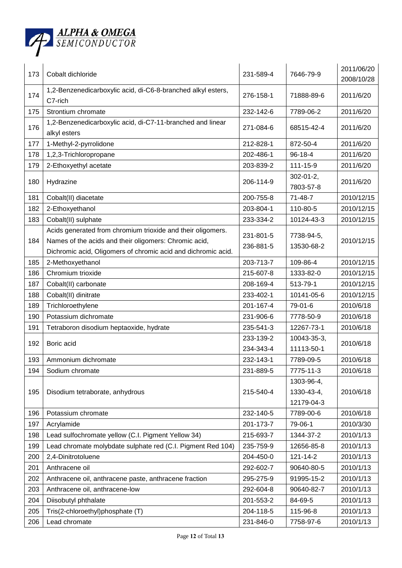

| 173 | Cobalt dichloride                                                          | 231-589-4 | 7646-79-9                   | 2011/06/20<br>2008/10/28 |
|-----|----------------------------------------------------------------------------|-----------|-----------------------------|--------------------------|
| 174 | 1,2-Benzenedicarboxylic acid, di-C6-8-branched alkyl esters,<br>C7-rich    | 276-158-1 | 71888-89-6                  | 2011/6/20                |
| 175 | Strontium chromate                                                         | 232-142-6 | 7789-06-2                   | 2011/6/20                |
| 176 | 1,2-Benzenedicarboxylic acid, di-C7-11-branched and linear<br>alkyl esters | 271-084-6 | 68515-42-4                  | 2011/6/20                |
| 177 | 1-Methyl-2-pyrrolidone                                                     | 212-828-1 | 872-50-4                    | 2011/6/20                |
| 178 | 1,2,3-Trichloropropane                                                     | 202-486-1 | $96 - 18 - 4$               | 2011/6/20                |
| 179 | 2-Ethoxyethyl acetate                                                      | 203-839-2 | 111-15-9                    | 2011/6/20                |
| 180 | Hydrazine                                                                  | 206-114-9 | $302 - 01 - 2$<br>7803-57-8 | 2011/6/20                |
| 181 | Cobalt(II) diacetate                                                       | 200-755-8 | $71 - 48 - 7$               | 2010/12/15               |
| 182 | 2-Ethoxyethanol                                                            | 203-804-1 | 110-80-5                    | 2010/12/15               |
| 183 | Cobalt(II) sulphate                                                        | 233-334-2 | 10124-43-3                  | 2010/12/15               |
|     | Acids generated from chromium trioxide and their oligomers.                | 231-801-5 | 7738-94-5,                  |                          |
| 184 | Names of the acids and their oligomers: Chromic acid,                      | 236-881-5 | 13530-68-2                  | 2010/12/15               |
|     | Dichromic acid, Oligomers of chromic acid and dichromic acid.              |           |                             |                          |
| 185 | 2-Methoxyethanol                                                           | 203-713-7 | 109-86-4                    | 2010/12/15               |
| 186 | Chromium trioxide                                                          | 215-607-8 | 1333-82-0                   | 2010/12/15               |
| 187 | Cobalt(II) carbonate                                                       | 208-169-4 | 513-79-1                    | 2010/12/15               |
| 188 | Cobalt(II) dinitrate                                                       | 233-402-1 | 10141-05-6                  | 2010/12/15               |
| 189 | Trichloroethylene                                                          | 201-167-4 | 79-01-6                     | 2010/6/18                |
| 190 | Potassium dichromate                                                       | 231-906-6 | 7778-50-9                   | 2010/6/18                |
| 191 | Tetraboron disodium heptaoxide, hydrate                                    | 235-541-3 | 12267-73-1                  | 2010/6/18                |
| 192 | Boric acid                                                                 | 233-139-2 | 10043-35-3,                 | 2010/6/18                |
|     |                                                                            | 234-343-4 | 11113-50-1                  |                          |
| 193 | Ammonium dichromate                                                        | 232-143-1 | 7789-09-5                   | 2010/6/18                |
| 194 | Sodium chromate                                                            | 231-889-5 | 7775-11-3                   | 2010/6/18                |
|     |                                                                            |           | 1303-96-4,                  |                          |
| 195 | Disodium tetraborate, anhydrous                                            | 215-540-4 | 1330-43-4,                  | 2010/6/18                |
|     |                                                                            |           | 12179-04-3                  |                          |
| 196 | Potassium chromate                                                         | 232-140-5 | 7789-00-6                   | 2010/6/18                |
| 197 | Acrylamide                                                                 | 201-173-7 | 79-06-1                     | 2010/3/30                |
| 198 | Lead sulfochromate yellow (C.I. Pigment Yellow 34)                         | 215-693-7 | 1344-37-2                   | 2010/1/13                |
| 199 | Lead chromate molybdate sulphate red (C.I. Pigment Red 104)                | 235-759-9 | 12656-85-8                  | 2010/1/13                |
| 200 | 2,4-Dinitrotoluene                                                         | 204-450-0 | 121-14-2                    | 2010/1/13                |
| 201 | Anthracene oil                                                             | 292-602-7 | 90640-80-5                  | 2010/1/13                |
| 202 | Anthracene oil, anthracene paste, anthracene fraction                      | 295-275-9 | 91995-15-2                  | 2010/1/13                |
| 203 | Anthracene oil, anthracene-low                                             | 292-604-8 | 90640-82-7                  | 2010/1/13                |
| 204 | Diisobutyl phthalate                                                       | 201-553-2 | 84-69-5                     | 2010/1/13                |
| 205 | Tris(2-chloroethyl)phosphate (T)                                           | 204-118-5 | 115-96-8                    | 2010/1/13                |
| 206 | Lead chromate                                                              | 231-846-0 | 7758-97-6                   | 2010/1/13                |